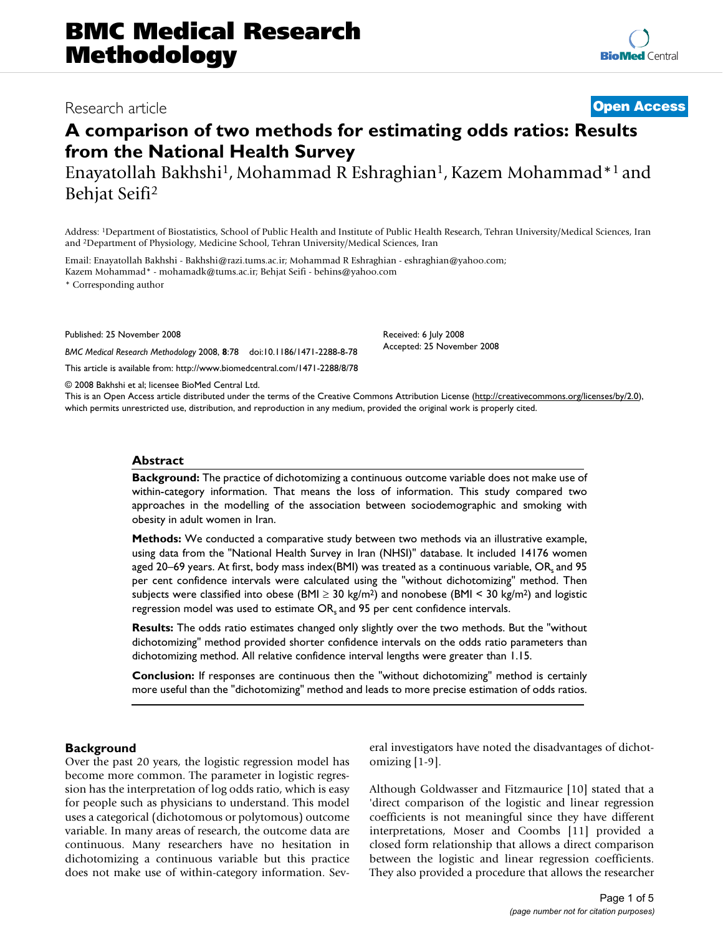# Research article **[Open Access](http://www.biomedcentral.com/info/about/charter/)**

# **A comparison of two methods for estimating odds ratios: Results from the National Health Survey**

Enayatollah Bakhshi1, Mohammad R Eshraghian1, Kazem Mohammad\*1 and Behjat Seifi2

Address: 1Department of Biostatistics, School of Public Health and Institute of Public Health Research, Tehran University/Medical Sciences, Iran and 2Department of Physiology, Medicine School, Tehran University/Medical Sciences, Iran

Email: Enayatollah Bakhshi - Bakhshi@razi.tums.ac.ir; Mohammad R Eshraghian - eshraghian@yahoo.com; Kazem Mohammad\* - mohamadk@tums.ac.ir; Behjat Seifi - behins@yahoo.com

\* Corresponding author

Published: 25 November 2008

*BMC Medical Research Methodology* 2008, **8**:78 doi:10.1186/1471-2288-8-78

[This article is available from: http://www.biomedcentral.com/1471-2288/8/78](http://www.biomedcentral.com/1471-2288/8/78)

© 2008 Bakhshi et al; licensee BioMed Central Ltd.

This is an Open Access article distributed under the terms of the Creative Commons Attribution License [\(http://creativecommons.org/licenses/by/2.0\)](http://creativecommons.org/licenses/by/2.0), which permits unrestricted use, distribution, and reproduction in any medium, provided the original work is properly cited.

Received: 6 July 2008 Accepted: 25 November 2008

## **Abstract**

**Background:** The practice of dichotomizing a continuous outcome variable does not make use of within-category information. That means the loss of information. This study compared two approaches in the modelling of the association between sociodemographic and smoking with obesity in adult women in Iran.

**Methods:** We conducted a comparative study between two methods via an illustrative example, using data from the "National Health Survey in Iran (NHSI)" database. It included 14176 women aged 20–69 years. At first, body mass index(BMI) was treated as a continuous variable, OR, and 95 per cent confidence intervals were calculated using the "without dichotomizing" method. Then subjects were classified into obese (BMI  $\geq$  30 kg/m<sup>2</sup>) and nonobese (BMI < 30 kg/m<sup>2</sup>) and logistic regression model was used to estimate OR, and 95 per cent confidence intervals.

**Results:** The odds ratio estimates changed only slightly over the two methods. But the "without dichotomizing" method provided shorter confidence intervals on the odds ratio parameters than dichotomizing method. All relative confidence interval lengths were greater than 1.15.

**Conclusion:** If responses are continuous then the "without dichotomizing" method is certainly more useful than the "dichotomizing" method and leads to more precise estimation of odds ratios.

# **Background**

Over the past 20 years, the logistic regression model has become more common. The parameter in logistic regression has the interpretation of log odds ratio, which is easy for people such as physicians to understand. This model uses a categorical (dichotomous or polytomous) outcome variable. In many areas of research, the outcome data are continuous. Many researchers have no hesitation in dichotomizing a continuous variable but this practice does not make use of within-category information. Several investigators have noted the disadvantages of dichotomizing [1-9].

Although Goldwasser and Fitzmaurice [10] stated that a 'direct comparison of the logistic and linear regression coefficients is not meaningful since they have different interpretations, Moser and Coombs [11] provided a closed form relationship that allows a direct comparison between the logistic and linear regression coefficients. They also provided a procedure that allows the researcher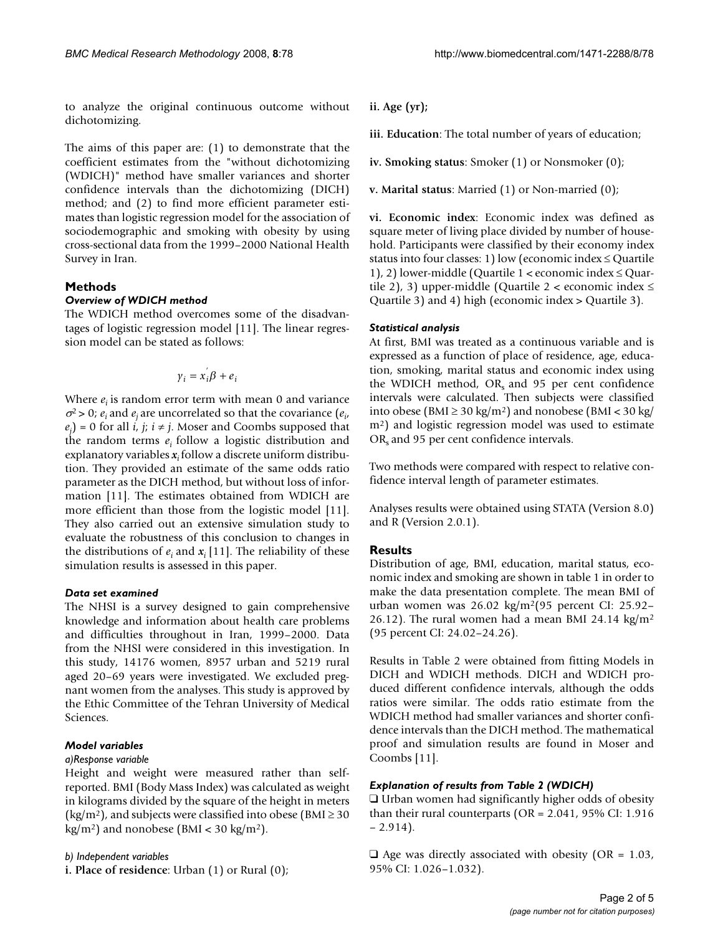to analyze the original continuous outcome without dichotomizing.

The aims of this paper are: (1) to demonstrate that the coefficient estimates from the "without dichotomizing (WDICH)" method have smaller variances and shorter confidence intervals than the dichotomizing (DICH) method; and (2) to find more efficient parameter estimates than logistic regression model for the association of sociodemographic and smoking with obesity by using cross-sectional data from the 1999–2000 National Health Survey in Iran.

# **Methods**

# *Overview of WDICH method*

The WDICH method overcomes some of the disadvantages of logistic regression model [11]. The linear regression model can be stated as follows:

$$
\gamma_i = x_i \beta + e_i
$$

Where  $e_i$  is random error term with mean 0 and variance  $\sigma^2$  > 0;  $e_i$  and  $e_j$  are uncorrelated so that the covariance ( $e_i$ ,  $(e_j) = 0$  for all *i*, *j*; *i*  $\neq$  *j*. Moser and Coombs supposed that the random terms  $e_i$  follow a logistic distribution and explanatory variables *xi* follow a discrete uniform distribution. They provided an estimate of the same odds ratio parameter as the DICH method, but without loss of information [11]. The estimates obtained from WDICH are more efficient than those from the logistic model [11]. They also carried out an extensive simulation study to evaluate the robustness of this conclusion to changes in the distributions of  $e_i$  and  $x_i$  [11]. The reliability of these simulation results is assessed in this paper.

## *Data set examined*

The NHSI is a survey designed to gain comprehensive knowledge and information about health care problems and difficulties throughout in Iran, 1999–2000. Data from the NHSI were considered in this investigation. In this study, 14176 women, 8957 urban and 5219 rural aged 20–69 years were investigated. We excluded pregnant women from the analyses. This study is approved by the Ethic Committee of the Tehran University of Medical Sciences.

# *Model variables*

# *a)Response variable*

Height and weight were measured rather than selfreported. BMI (Body Mass Index) was calculated as weight in kilograms divided by the square of the height in meters (kg/m<sup>2</sup>), and subjects were classified into obese (BMI  $\geq$  30  $kg/m<sup>2</sup>$ ) and nonobese (BMI < 30 kg/m<sup>2</sup>).

*b) Independent variables*

**i. Place of residence**: Urban (1) or Rural (0);

**ii. Age (yr);**

**iii. Education**: The total number of years of education;

**iv. Smoking status**: Smoker (1) or Nonsmoker (0);

**v. Marital status**: Married (1) or Non-married (0);

**vi. Economic index**: Economic index was defined as square meter of living place divided by number of household. Participants were classified by their economy index status into four classes: 1) low (economic index  $\leq$  Quartile 1), 2) lower-middle (Quartile  $1 <$  economic index  $\leq$  Quartile 2), 3) upper-middle (Quartile 2 < economic index  $\leq$ Quartile 3) and 4) high (economic index > Quartile 3).

# *Statistical analysis*

At first, BMI was treated as a continuous variable and is expressed as a function of place of residence, age, education, smoking, marital status and economic index using the WDICH method,  $OR<sub>s</sub>$  and 95 per cent confidence intervals were calculated. Then subjects were classified into obese (BMI ≥ 30 kg/m<sup>2</sup>) and nonobese (BMI < 30 kg/ m2) and logistic regression model was used to estimate OR<sub>s</sub> and 95 per cent confidence intervals.

Two methods were compared with respect to relative confidence interval length of parameter estimates.

Analyses results were obtained using STATA (Version 8.0) and R (Version 2.0.1).

# **Results**

Distribution of age, BMI, education, marital status, economic index and smoking are shown in table 1 in order to make the data presentation complete. The mean BMI of urban women was 26.02 kg/m2(95 percent CI: 25.92– 26.12). The rural women had a mean BMI 24.14  $\text{kg/m}^2$ (95 percent CI: 24.02–24.26).

Results in Table 2 were obtained from fitting Models in DICH and WDICH methods. DICH and WDICH produced different confidence intervals, although the odds ratios were similar. The odds ratio estimate from the WDICH method had smaller variances and shorter confidence intervals than the DICH method. The mathematical proof and simulation results are found in Moser and Coombs [11].

# *Explanation of results from Table 2 (WDICH)*

 $\Box$  Urban women had significantly higher odds of obesity than their rural counterparts (OR = 2.041, 95% CI: 1.916  $-2.914$ ).

 $\Box$  Age was directly associated with obesity (OR = 1.03, 95% CI: 1.026–1.032).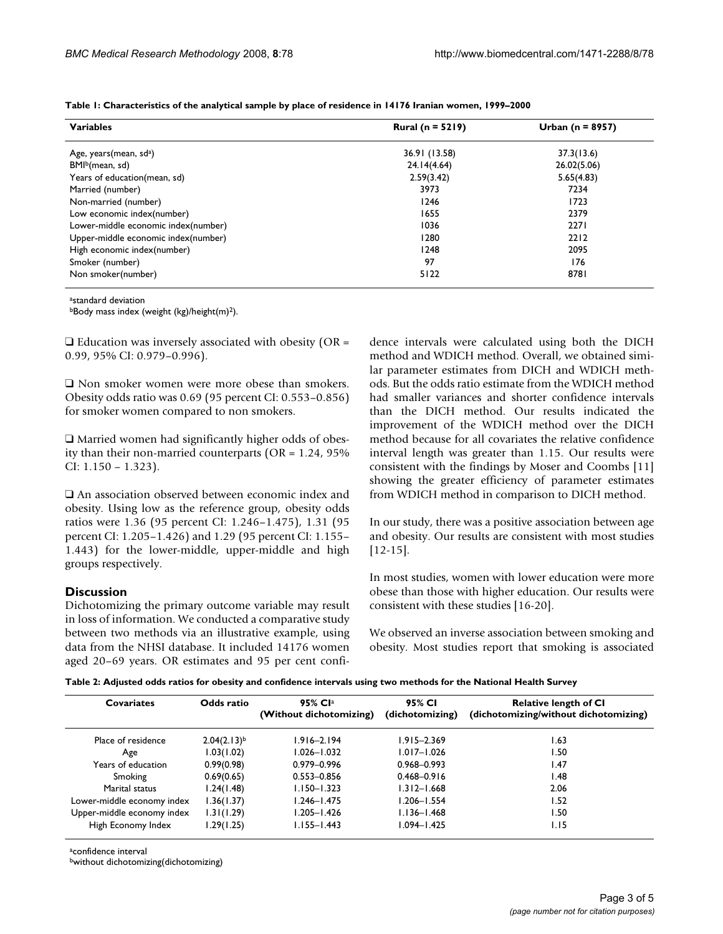| <b>Variables</b>                    | <b>Rural (n = 5219)</b> | Urban ( $n = 8957$ ) |  |
|-------------------------------------|-------------------------|----------------------|--|
| Age, years (mean, sd <sup>a</sup> ) | 36.91 (13.58)           | 37.3(13.6)           |  |
| BMI <sup>b</sup> (mean, sd)         | 24.14(4.64)             | 26.02(5.06)          |  |
| Years of education(mean, sd)        | 2.59(3.42)              | 5.65(4.83)           |  |
| Married (number)                    | 3973                    | 7234                 |  |
| Non-married (number)                | 1246                    | 1723                 |  |
| Low economic index(number)          | 1655                    | 2379                 |  |
| Lower-middle economic index(number) | 1036                    | 2271                 |  |
| Upper-middle economic index(number) | 1280                    | 2212                 |  |
| High economic index(number)         | 1248                    | 2095                 |  |
| Smoker (number)                     | 97                      | 176                  |  |
| Non smoker(number)                  | 5122                    | 8781                 |  |

**Table 1: Characteristics of the analytical sample by place of residence in 14176 Iranian women, 1999–2000**

a<sub>standard</sub> deviation

bBody mass index (weight (kg)/height(m)2).

 $\Box$  Education was inversely associated with obesity (OR = 0.99, 95% CI: 0.979–0.996).

 $\square$  Non smoker women were more obese than smokers. Obesity odds ratio was 0.69 (95 percent CI: 0.553–0.856) for smoker women compared to non smokers.

 $\Box$  Married women had significantly higher odds of obesity than their non-married counterparts (OR = 1.24, 95% CI: 1.150 – 1.323).

 $\square$  An association observed between economic index and obesity. Using low as the reference group, obesity odds ratios were 1.36 (95 percent CI: 1.246–1.475), 1.31 (95 percent CI: 1.205–1.426) and 1.29 (95 percent CI: 1.155– 1.443) for the lower-middle, upper-middle and high groups respectively.

# **Discussion**

Dichotomizing the primary outcome variable may result in loss of information. We conducted a comparative study between two methods via an illustrative example, using data from the NHSI database. It included 14176 women aged 20–69 years. OR estimates and 95 per cent confidence intervals were calculated using both the DICH method and WDICH method. Overall, we obtained similar parameter estimates from DICH and WDICH methods. But the odds ratio estimate from the WDICH method had smaller variances and shorter confidence intervals than the DICH method. Our results indicated the improvement of the WDICH method over the DICH method because for all covariates the relative confidence interval length was greater than 1.15. Our results were consistent with the findings by Moser and Coombs [11] showing the greater efficiency of parameter estimates from WDICH method in comparison to DICH method.

In our study, there was a positive association between age and obesity. Our results are consistent with most studies [12-15].

In most studies, women with lower education were more obese than those with higher education. Our results were consistent with these studies [16-20].

We observed an inverse association between smoking and obesity. Most studies report that smoking is associated

| Table 2: Adjusted odds ratios for obesity and confidence intervals using two methods for the National Health Survey |
|---------------------------------------------------------------------------------------------------------------------|
|---------------------------------------------------------------------------------------------------------------------|

| Covariates                 | Odds ratio       | 95% Cla<br>(Without dichotomizing) | 95% CI<br>(dichotomizing) | <b>Relative length of CI</b><br>(dichotomizing/without dichotomizing) |
|----------------------------|------------------|------------------------------------|---------------------------|-----------------------------------------------------------------------|
| Place of residence         | $2.04(2.13)^{b}$ | 1.916–2.194                        | $1.915 - 2.369$           | 1.63                                                                  |
| Age                        | 1.03(1.02)       | 1.026-1.032                        | $1.017 - 1.026$           | 1.50                                                                  |
| Years of education         | 0.99(0.98)       | 0.979-0.996                        | $0.968 - 0.993$           | 1.47                                                                  |
| Smoking                    | 0.69(0.65)       | $0.553 - 0.856$                    | $0.468 - 0.916$           | 1.48                                                                  |
| Marital status             | 1.24(1.48)       | $1.150 - 1.323$                    | $1.312 - 1.668$           | 2.06                                                                  |
| Lower-middle economy index | 1.36(1.37)       | l.246–l.475                        | l.206-l.554               | 1.52                                                                  |
| Upper-middle economy index | 1.31(1.29)       | l.205–l. <del>4</del> 26           | $1.136 - 1.468$           | 1.50                                                                  |
| High Economy Index         | 1.29(1.25)       | $1.155 - 1.443$                    | $1.094 - 1.425$           | 1.15                                                                  |

aconfidence interval

bwithout dichotomizing(dichotomizing)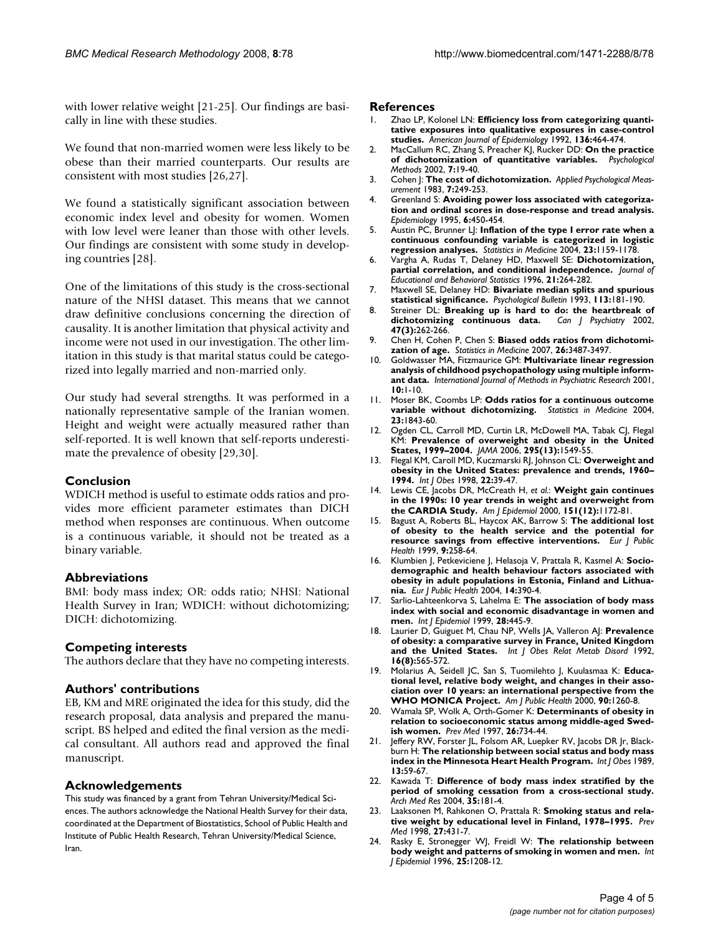with lower relative weight [21-25]. Our findings are basically in line with these studies.

We found that non-married women were less likely to be obese than their married counterparts. Our results are consistent with most studies [26,27].

We found a statistically significant association between economic index level and obesity for women. Women with low level were leaner than those with other levels. Our findings are consistent with some study in developing countries [28].

One of the limitations of this study is the cross-sectional nature of the NHSI dataset. This means that we cannot draw definitive conclusions concerning the direction of causality. It is another limitation that physical activity and income were not used in our investigation. The other limitation in this study is that marital status could be categorized into legally married and non-married only.

Our study had several strengths. It was performed in a nationally representative sample of the Iranian women. Height and weight were actually measured rather than self-reported. It is well known that self-reports underestimate the prevalence of obesity [29,30].

## **Conclusion**

WDICH method is useful to estimate odds ratios and provides more efficient parameter estimates than DICH method when responses are continuous. When outcome is a continuous variable, it should not be treated as a binary variable.

## **Abbreviations**

BMI: body mass index; OR: odds ratio; NHSI: National Health Survey in Iran; WDICH: without dichotomizing; DICH: dichotomizing.

## **Competing interests**

The authors declare that they have no competing interests.

## **Authors' contributions**

EB, KM and MRE originated the idea for this study, did the research proposal, data analysis and prepared the manuscript. BS helped and edited the final version as the medical consultant. All authors read and approved the final manuscript.

## **Acknowledgements**

This study was financed by a grant from Tehran University/Medical Sciences. The authors acknowledge the National Health Survey for their data, coordinated at the Department of Biostatistics, School of Public Health and Institute of Public Health Research, Tehran University/Medical Science, Iran.

#### **References**

- Zhao LP, Kolonel LN: [Efficiency loss from categorizing quanti](http://www.ncbi.nlm.nih.gov/entrez/query.fcgi?cmd=Retrieve&db=PubMed&dopt=Abstract&list_uids=1415166)**[tative exposures into qualitative exposures in case-control](http://www.ncbi.nlm.nih.gov/entrez/query.fcgi?cmd=Retrieve&db=PubMed&dopt=Abstract&list_uids=1415166) [studies.](http://www.ncbi.nlm.nih.gov/entrez/query.fcgi?cmd=Retrieve&db=PubMed&dopt=Abstract&list_uids=1415166)** *American Journal of Epidemiology* 1992, **136:**464-474.
- 2. MacCallum RC, Zhang S, Preacher KJ, Rucker DD: **[On the practice](http://www.ncbi.nlm.nih.gov/entrez/query.fcgi?cmd=Retrieve&db=PubMed&dopt=Abstract&list_uids=11928888) [of dichotomization of quantitative variables.](http://www.ncbi.nlm.nih.gov/entrez/query.fcgi?cmd=Retrieve&db=PubMed&dopt=Abstract&list_uids=11928888)** *Psychological Methods* 2002, **7:**19-40.
- 3. Cohen J: **The cost of dichotomization.** *Applied Psychological Measurement* 1983, **7:**249-253.
- 4. Greenland S: **[Avoiding power loss associated with categoriza](http://www.ncbi.nlm.nih.gov/entrez/query.fcgi?cmd=Retrieve&db=PubMed&dopt=Abstract&list_uids=7548361)[tion and ordinal scores in dose-response and tread analysis.](http://www.ncbi.nlm.nih.gov/entrez/query.fcgi?cmd=Retrieve&db=PubMed&dopt=Abstract&list_uids=7548361)** *Epidemiology* 1995, **6:**450-454.
- 5. Austin PC, Brunner LJ: **[Inflation of the type I error rate when a](http://www.ncbi.nlm.nih.gov/entrez/query.fcgi?cmd=Retrieve&db=PubMed&dopt=Abstract&list_uids=15057884) [continuous confounding variable is categorized in logistic](http://www.ncbi.nlm.nih.gov/entrez/query.fcgi?cmd=Retrieve&db=PubMed&dopt=Abstract&list_uids=15057884) [regression analyses.](http://www.ncbi.nlm.nih.gov/entrez/query.fcgi?cmd=Retrieve&db=PubMed&dopt=Abstract&list_uids=15057884)** *Statistics in Medicine* 2004, **23:**1159-1178.
- 6. Vargha A, Rudas T, Delaney HD, Maxwell SE: **Dichotomization, partial correlation, and conditional independence.** *Journal of Educational and Behavioral Statistics* 1996, **21:**264-282.
- 7. Maxwell SE, Delaney HD: **Bivariate median splits and spurious statistical significance.** *Psychological Bulletin* 1993, **113:**181-190.
- 8. Streiner DL: **[Breaking up is hard to do: the heartbreak of](http://www.ncbi.nlm.nih.gov/entrez/query.fcgi?cmd=Retrieve&db=PubMed&dopt=Abstract&list_uids=11987478)** [dichotomizing continuous data.](http://www.ncbi.nlm.nih.gov/entrez/query.fcgi?cmd=Retrieve&db=PubMed&dopt=Abstract&list_uids=11987478) **47(3):**262-266.
- 9. Chen H, Cohen P, Chen S: **[Biased odds ratios from dichotomi](http://www.ncbi.nlm.nih.gov/entrez/query.fcgi?cmd=Retrieve&db=PubMed&dopt=Abstract&list_uids=17066378)[zation of age.](http://www.ncbi.nlm.nih.gov/entrez/query.fcgi?cmd=Retrieve&db=PubMed&dopt=Abstract&list_uids=17066378)** *Statistics in Medicine* 2007, **26:**3487-3497.
- 10. Goldwasser MA, Fitzmaurice GM: **Multivariate linear regression analysis of childhood psychopathology using multiple informant data.** *International Journal of Methods in Psychiatric Research* 2001, **10:**1-10.
- 11. Moser BK, Coombs LP: **[Odds ratios for a continuous outcome](http://www.ncbi.nlm.nih.gov/entrez/query.fcgi?cmd=Retrieve&db=PubMed&dopt=Abstract&list_uids=15195319) [variable without dichotomizing.](http://www.ncbi.nlm.nih.gov/entrez/query.fcgi?cmd=Retrieve&db=PubMed&dopt=Abstract&list_uids=15195319)** *Statistics in Medicine* 2004, **23:**1843-60.
- 12. Ogden CL, Carroll MD, Curtin LR, McDowell MA, Tabak CJ, Flegal KM: **[Prevalence of overweight and obesity in the United](http://www.ncbi.nlm.nih.gov/entrez/query.fcgi?cmd=Retrieve&db=PubMed&dopt=Abstract&list_uids=16595758) [States, 1999–2004.](http://www.ncbi.nlm.nih.gov/entrez/query.fcgi?cmd=Retrieve&db=PubMed&dopt=Abstract&list_uids=16595758)** *JAMA* 2006, **295(13):**1549-55.
- 13. Flegal KM, Caroll MD, Kuczmarski RJ, Johnson CL: **Overweight and obesity in the United States: prevalence and trends, 1960– 1994.** *Int J Obes* 1998, **22:**39-47.
- 14. Lewis CE, Jacobs DR, McCreath H, *et al.*: **[Weight gain continues](http://www.ncbi.nlm.nih.gov/entrez/query.fcgi?cmd=Retrieve&db=PubMed&dopt=Abstract&list_uids=10905529) [in the 1990s: 10 year trends in weight and overweight from](http://www.ncbi.nlm.nih.gov/entrez/query.fcgi?cmd=Retrieve&db=PubMed&dopt=Abstract&list_uids=10905529) [the CARDIA Study.](http://www.ncbi.nlm.nih.gov/entrez/query.fcgi?cmd=Retrieve&db=PubMed&dopt=Abstract&list_uids=10905529)** *Am J Epidemiol* 2000, **151(12):**1172-81.
- 15. Bagust A, Roberts BL, Haycox AK, Barrow S: **The additional lost of obesity to the health service and the potential for resource savings from effective interventions.** *Eur J Public Health* 1999, **9:**258-64.
- 16. Klumbien J, Petkeviciene J, Helasoja V, Prattala R, Kasmel A: **[Socio](http://www.ncbi.nlm.nih.gov/entrez/query.fcgi?cmd=Retrieve&db=PubMed&dopt=Abstract&list_uids=15542875)[demographic and health behaviour factors associated with](http://www.ncbi.nlm.nih.gov/entrez/query.fcgi?cmd=Retrieve&db=PubMed&dopt=Abstract&list_uids=15542875) obesity in adult populations in Estonia, Finland and Lithua[nia.](http://www.ncbi.nlm.nih.gov/entrez/query.fcgi?cmd=Retrieve&db=PubMed&dopt=Abstract&list_uids=15542875)** *Eur J Public Health* 2004, **14:**390-4.
- 17. Sarlio-Lahteenkorva S, Lahelma E: **[The association of body mass](http://www.ncbi.nlm.nih.gov/entrez/query.fcgi?cmd=Retrieve&db=PubMed&dopt=Abstract&list_uids=10405846) [index with social and economic disadvantage in women and](http://www.ncbi.nlm.nih.gov/entrez/query.fcgi?cmd=Retrieve&db=PubMed&dopt=Abstract&list_uids=10405846) [men.](http://www.ncbi.nlm.nih.gov/entrez/query.fcgi?cmd=Retrieve&db=PubMed&dopt=Abstract&list_uids=10405846)** *Int J Epidemiol* 1999, **28:**445-9.
- 18. Laurier D, Guiguet M, Chau NP, Wells JA, Valleron AJ: **[Prevalence](http://www.ncbi.nlm.nih.gov/entrez/query.fcgi?cmd=Retrieve&db=PubMed&dopt=Abstract&list_uids=1326486) [of obesity: a comparative survey in France, United Kingdom](http://www.ncbi.nlm.nih.gov/entrez/query.fcgi?cmd=Retrieve&db=PubMed&dopt=Abstract&list_uids=1326486) [and the United States.](http://www.ncbi.nlm.nih.gov/entrez/query.fcgi?cmd=Retrieve&db=PubMed&dopt=Abstract&list_uids=1326486)** *Int J Obes Relat Metab Disord* 1992, **16(8):**565-572.
- 19. Molarius A, Seidell JC, San S, Tuomilehto J, Kuulasmaa K: **[Educa](http://www.ncbi.nlm.nih.gov/entrez/query.fcgi?cmd=Retrieve&db=PubMed&dopt=Abstract&list_uids=10937007)[tional level, relative body weight, and changes in their asso](http://www.ncbi.nlm.nih.gov/entrez/query.fcgi?cmd=Retrieve&db=PubMed&dopt=Abstract&list_uids=10937007)ciation over 10 years: an international perspective from the [WHO MONICA Project.](http://www.ncbi.nlm.nih.gov/entrez/query.fcgi?cmd=Retrieve&db=PubMed&dopt=Abstract&list_uids=10937007)** *Am J Public Health* 2000, **90:**1260-8.
- 20. Wamala SP, Wolk A, Orth-Gomer K: **[Determinants of obesity in](http://www.ncbi.nlm.nih.gov/entrez/query.fcgi?cmd=Retrieve&db=PubMed&dopt=Abstract&list_uids=9327484) [relation to socioeconomic status among middle-aged Swed](http://www.ncbi.nlm.nih.gov/entrez/query.fcgi?cmd=Retrieve&db=PubMed&dopt=Abstract&list_uids=9327484)[ish women.](http://www.ncbi.nlm.nih.gov/entrez/query.fcgi?cmd=Retrieve&db=PubMed&dopt=Abstract&list_uids=9327484)** *Prev Med* 1997, **26:**734-44.
- 21. Jeffery RW, Forster JL, Folsom AR, Luepker RV, Jacobs DR Jr, Blackburn H: **[The relationship between social status and body mass](http://www.ncbi.nlm.nih.gov/entrez/query.fcgi?cmd=Retrieve&db=PubMed&dopt=Abstract&list_uids=2703294) [index in the Minnesota Heart Health Program.](http://www.ncbi.nlm.nih.gov/entrez/query.fcgi?cmd=Retrieve&db=PubMed&dopt=Abstract&list_uids=2703294)** *Int J Obes* 1989, **13:**59-67.
- 22. Kawada T: **[Difference of body mass index stratified by the](http://www.ncbi.nlm.nih.gov/entrez/query.fcgi?cmd=Retrieve&db=PubMed&dopt=Abstract&list_uids=15010201) [period of smoking cessation from a cross-sectional study.](http://www.ncbi.nlm.nih.gov/entrez/query.fcgi?cmd=Retrieve&db=PubMed&dopt=Abstract&list_uids=15010201)** *Arch Med Res* 2004, **35:**181-4.
- 23. Laaksonen M, Rahkonen O, Prattala R: **[Smoking status and rela](http://www.ncbi.nlm.nih.gov/entrez/query.fcgi?cmd=Retrieve&db=PubMed&dopt=Abstract&list_uids=9612833)[tive weight by educational level in Finland, 1978–1995.](http://www.ncbi.nlm.nih.gov/entrez/query.fcgi?cmd=Retrieve&db=PubMed&dopt=Abstract&list_uids=9612833)** *Prev Med* 1998, **27:**431-7.
- 24. Rasky E, Stronegger WJ, Freidl W: **[The relationship between](http://www.ncbi.nlm.nih.gov/entrez/query.fcgi?cmd=Retrieve&db=PubMed&dopt=Abstract&list_uids=9027526) [body weight and patterns of smoking in women and men.](http://www.ncbi.nlm.nih.gov/entrez/query.fcgi?cmd=Retrieve&db=PubMed&dopt=Abstract&list_uids=9027526)** *Int J Epidemiol* 1996, **25:**1208-12.